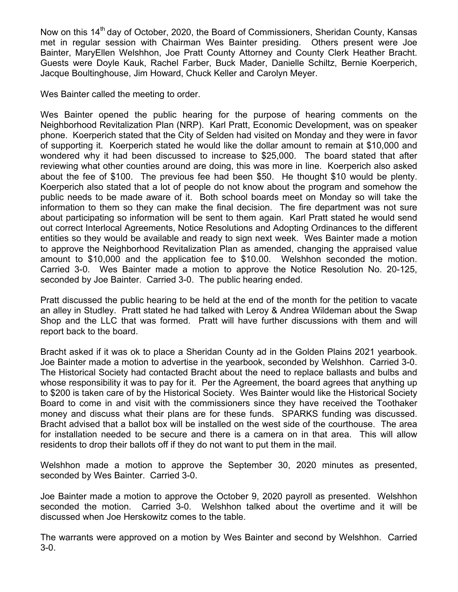Now on this 14<sup>th</sup> day of October, 2020, the Board of Commissioners, Sheridan County, Kansas met in regular session with Chairman Wes Bainter presiding. Others present were Joe Bainter, MaryEllen Welshhon, Joe Pratt County Attorney and County Clerk Heather Bracht. Guests were Doyle Kauk, Rachel Farber, Buck Mader, Danielle Schiltz, Bernie Koerperich, Jacque Boultinghouse, Jim Howard, Chuck Keller and Carolyn Meyer.

Wes Bainter called the meeting to order.

Wes Bainter opened the public hearing for the purpose of hearing comments on the Neighborhood Revitalization Plan (NRP). Karl Pratt, Economic Development, was on speaker phone. Koerperich stated that the City of Selden had visited on Monday and they were in favor of supporting it. Koerperich stated he would like the dollar amount to remain at \$10,000 and wondered why it had been discussed to increase to \$25,000. The board stated that after reviewing what other counties around are doing, this was more in line. Koerperich also asked about the fee of \$100. The previous fee had been \$50. He thought \$10 would be plenty. Koerperich also stated that a lot of people do not know about the program and somehow the public needs to be made aware of it. Both school boards meet on Monday so will take the information to them so they can make the final decision. The fire department was not sure about participating so information will be sent to them again. Karl Pratt stated he would send out correct Interlocal Agreements, Notice Resolutions and Adopting Ordinances to the different entities so they would be available and ready to sign next week. Wes Bainter made a motion to approve the Neighborhood Revitalization Plan as amended, changing the appraised value amount to \$10,000 and the application fee to \$10.00. Welshhon seconded the motion. Carried 3-0. Wes Bainter made a motion to approve the Notice Resolution No. 20-125, seconded by Joe Bainter. Carried 3-0. The public hearing ended.

Pratt discussed the public hearing to be held at the end of the month for the petition to vacate an alley in Studley. Pratt stated he had talked with Leroy & Andrea Wildeman about the Swap Shop and the LLC that was formed. Pratt will have further discussions with them and will report back to the board.

Bracht asked if it was ok to place a Sheridan County ad in the Golden Plains 2021 yearbook. Joe Bainter made a motion to advertise in the yearbook, seconded by Welshhon. Carried 3-0. The Historical Society had contacted Bracht about the need to replace ballasts and bulbs and whose responsibility it was to pay for it. Per the Agreement, the board agrees that anything up to \$200 is taken care of by the Historical Society. Wes Bainter would like the Historical Society Board to come in and visit with the commissioners since they have received the Toothaker money and discuss what their plans are for these funds. SPARKS funding was discussed. Bracht advised that a ballot box will be installed on the west side of the courthouse. The area for installation needed to be secure and there is a camera on in that area. This will allow residents to drop their ballots off if they do not want to put them in the mail.

Welshhon made a motion to approve the September 30, 2020 minutes as presented, seconded by Wes Bainter. Carried 3-0.

Joe Bainter made a motion to approve the October 9, 2020 payroll as presented. Welshhon seconded the motion. Carried 3-0. Welshhon talked about the overtime and it will be discussed when Joe Herskowitz comes to the table.

The warrants were approved on a motion by Wes Bainter and second by Welshhon. Carried 3-0.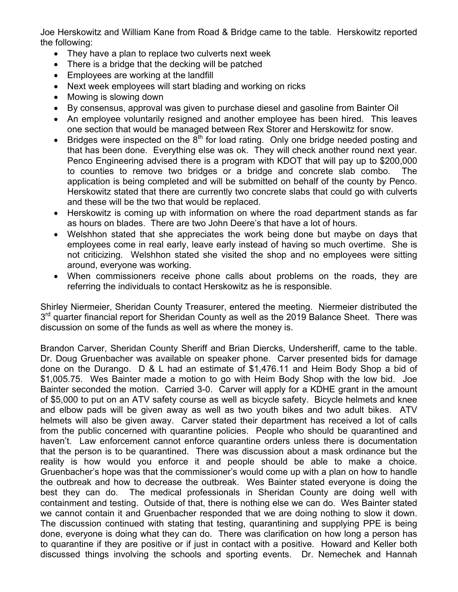Joe Herskowitz and William Kane from Road & Bridge came to the table. Herskowitz reported the following:

- They have a plan to replace two culverts next week
- There is a bridge that the decking will be patched
- Employees are working at the landfill
- Next week employees will start blading and working on ricks
- Mowing is slowing down
- By consensus, approval was given to purchase diesel and gasoline from Bainter Oil
- An employee voluntarily resigned and another employee has been hired. This leaves one section that would be managed between Rex Storer and Herskowitz for snow.
- Bridges were inspected on the  $8<sup>th</sup>$  for load rating. Only one bridge needed posting and that has been done. Everything else was ok. They will check another round next year. Penco Engineering advised there is a program with KDOT that will pay up to \$200,000 to counties to remove two bridges or a bridge and concrete slab combo. The application is being completed and will be submitted on behalf of the county by Penco. Herskowitz stated that there are currently two concrete slabs that could go with culverts and these will be the two that would be replaced.
- Herskowitz is coming up with information on where the road department stands as far as hours on blades. There are two John Deere's that have a lot of hours.
- Welshhon stated that she appreciates the work being done but maybe on days that employees come in real early, leave early instead of having so much overtime. She is not criticizing. Welshhon stated she visited the shop and no employees were sitting around, everyone was working.
- When commissioners receive phone calls about problems on the roads, they are referring the individuals to contact Herskowitz as he is responsible.

Shirley Niermeier, Sheridan County Treasurer, entered the meeting. Niermeier distributed the 3<sup>rd</sup> quarter financial report for Sheridan County as well as the 2019 Balance Sheet. There was discussion on some of the funds as well as where the money is.

Brandon Carver, Sheridan County Sheriff and Brian Diercks, Undersheriff, came to the table. Dr. Doug Gruenbacher was available on speaker phone. Carver presented bids for damage done on the Durango. D & L had an estimate of \$1,476.11 and Heim Body Shop a bid of \$1,005.75. Wes Bainter made a motion to go with Heim Body Shop with the low bid. Joe Bainter seconded the motion. Carried 3-0. Carver will apply for a KDHE grant in the amount of \$5,000 to put on an ATV safety course as well as bicycle safety. Bicycle helmets and knee and elbow pads will be given away as well as two youth bikes and two adult bikes. ATV helmets will also be given away. Carver stated their department has received a lot of calls from the public concerned with quarantine policies. People who should be quarantined and haven't. Law enforcement cannot enforce quarantine orders unless there is documentation that the person is to be quarantined. There was discussion about a mask ordinance but the reality is how would you enforce it and people should be able to make a choice. Gruenbacher's hope was that the commissioner's would come up with a plan on how to handle the outbreak and how to decrease the outbreak. Wes Bainter stated everyone is doing the best they can do. The medical professionals in Sheridan County are doing well with containment and testing. Outside of that, there is nothing else we can do. Wes Bainter stated we cannot contain it and Gruenbacher responded that we are doing nothing to slow it down. The discussion continued with stating that testing, quarantining and supplying PPE is being done, everyone is doing what they can do. There was clarification on how long a person has to quarantine if they are positive or if just in contact with a positive. Howard and Keller both discussed things involving the schools and sporting events. Dr. Nemechek and Hannah